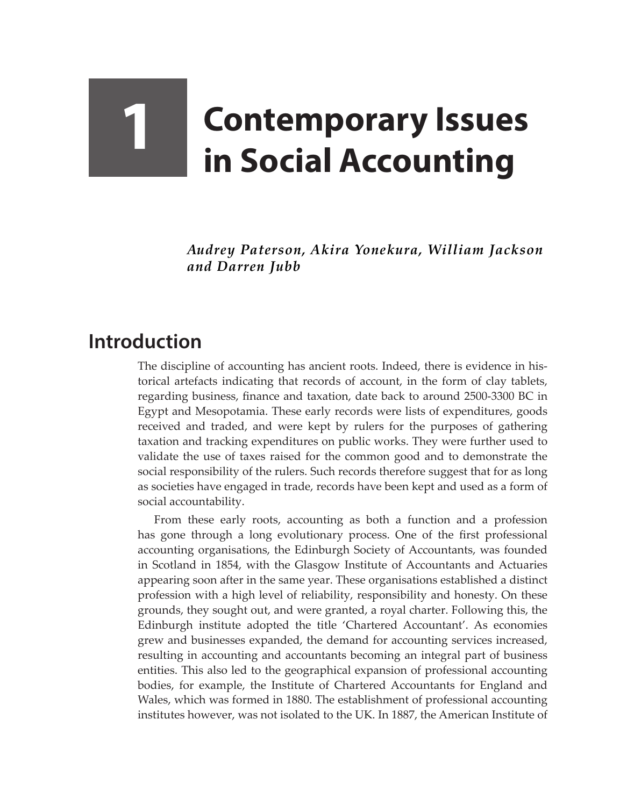## **1 Contemporary Issues in Social Accounting**

*Audrey Paterson, Akira Yonekura, William Jackson and Darren Jubb*

## **Introduction**

The discipline of accounting has ancient roots. Indeed, there is evidence in historical artefacts indicating that records of account, in the form of clay tablets, regarding business, finance and taxation, date back to around 2500-3300 BC in Egypt and Mesopotamia. These early records were lists of expenditures, goods received and traded, and were kept by rulers for the purposes of gathering taxation and tracking expenditures on public works. They were further used to validate the use of taxes raised for the common good and to demonstrate the social responsibility of the rulers. Such records therefore suggest that for as long as societies have engaged in trade, records have been kept and used as a form of social accountability.

From these early roots, accounting as both a function and a profession has gone through a long evolutionary process. One of the first professional accounting organisations, the Edinburgh Society of Accountants, was founded in Scotland in 1854, with the Glasgow Institute of Accountants and Actuaries appearing soon after in the same year. These organisations established a distinct profession with a high level of reliability, responsibility and honesty. On these grounds, they sought out, and were granted, a royal charter. Following this, the Edinburgh institute adopted the title 'Chartered Accountant'. As economies grew and businesses expanded, the demand for accounting services increased, resulting in accounting and accountants becoming an integral part of business entities. This also led to the geographical expansion of professional accounting bodies, for example, the Institute of Chartered Accountants for England and Wales, which was formed in 1880. The establishment of professional accounting institutes however, was not isolated to the UK. In 1887, the American Institute of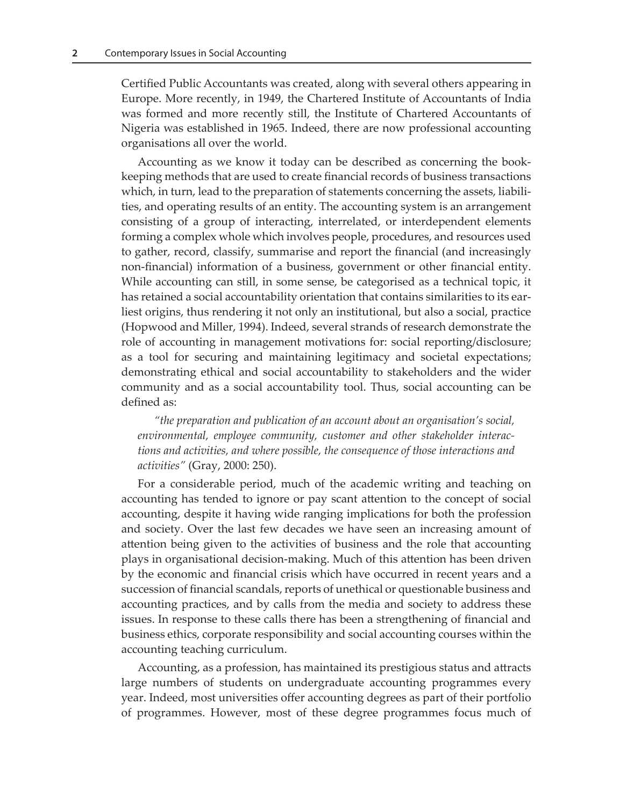Certified Public Accountants was created, along with several others appearing in Europe. More recently, in 1949, the Chartered Institute of Accountants of India was formed and more recently still, the Institute of Chartered Accountants of Nigeria was established in 1965. Indeed, there are now professional accounting organisations all over the world.

Accounting as we know it today can be described as concerning the bookkeeping methods that are used to create financial records of business transactions which, in turn, lead to the preparation of statements concerning the assets, liabilities, and operating results of an entity. The accounting system is an arrangement consisting of a group of interacting, interrelated, or interdependent elements forming a complex whole which involves people, procedures, and resources used to gather, record, classify, summarise and report the financial (and increasingly non-financial) information of a business, government or other financial entity. While accounting can still, in some sense, be categorised as a technical topic, it has retained a social accountability orientation that contains similarities to its earliest origins, thus rendering it not only an institutional, but also a social, practice (Hopwood and Miller, 1994). Indeed, several strands of research demonstrate the role of accounting in management motivations for: social reporting/disclosure; as a tool for securing and maintaining legitimacy and societal expectations; demonstrating ethical and social accountability to stakeholders and the wider community and as a social accountability tool. Thus, social accounting can be defined as:

*"the preparation and publication of an account about an organisation's social, environmental, employee community, customer and other stakeholder interactions and activities, and where possible, the consequence of those interactions and activities"* (Gray, 2000: 250).

For a considerable period, much of the academic writing and teaching on accounting has tended to ignore or pay scant attention to the concept of social accounting, despite it having wide ranging implications for both the profession and society. Over the last few decades we have seen an increasing amount of attention being given to the activities of business and the role that accounting plays in organisational decision-making. Much of this attention has been driven by the economic and financial crisis which have occurred in recent years and a succession of financial scandals, reports of unethical or questionable business and accounting practices, and by calls from the media and society to address these issues. In response to these calls there has been a strengthening of financial and business ethics, corporate responsibility and social accounting courses within the accounting teaching curriculum.

Accounting, as a profession, has maintained its prestigious status and attracts large numbers of students on undergraduate accounting programmes every year. Indeed, most universities offer accounting degrees as part of their portfolio of programmes. However, most of these degree programmes focus much of